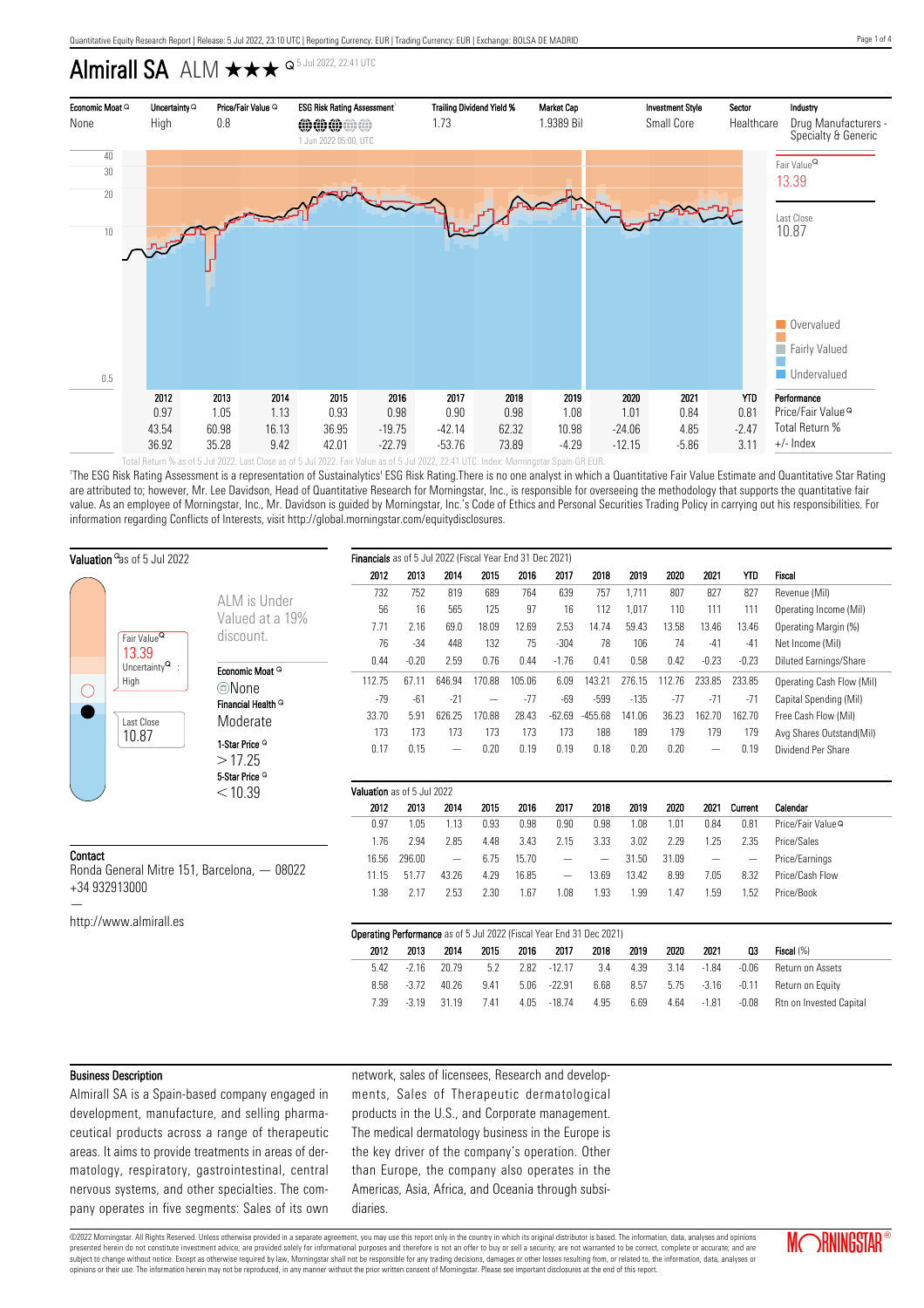## Almirall SA ALM  $\star\star\star$   $\circ$  5 Jul 2022, 22:41 UTC



'The ESG Risk Rating Assessment is a representation of Sustainalytics' ESG Risk Rating.There is no one analyst in which a Quantitative Fair Value Estimate and Quantitative Star Rating are attributed to; however, Mr. Lee Davidson, Head of Quantitative Research for Morningstar, Inc., is responsible for overseeing the methodology that supports the quantitative fair value. As an employee of Morningstar, Inc., Mr. Davidson is guided by Morningstar, Inc.'s Code of Ethics and Personal Securities Trading Policy in carrying out his responsibilities. For information regarding Conflicts of Interests, visit http://global.morningstar.com/equitydisclosures.

| Valuation as of 5 Jul 2022                                   |                                        | Financials as of 5 Jul 2022 (Fiscal Year End 31 Dec 2021) |                                                                      |         |        |                          |        |                   |                          |        |        |                          |                          |                               |
|--------------------------------------------------------------|----------------------------------------|-----------------------------------------------------------|----------------------------------------------------------------------|---------|--------|--------------------------|--------|-------------------|--------------------------|--------|--------|--------------------------|--------------------------|-------------------------------|
|                                                              |                                        |                                                           | 2012                                                                 | 2013    | 2014   | 2015                     | 2016   | 2017              | 2018                     | 2019   | 2020   | 2021                     | <b>YTD</b>               | Fiscal                        |
|                                                              |                                        | ALM is Under                                              | 732                                                                  | 752     | 819    | 689                      | 764    | 639               | 757                      | 1,711  | 807    | 827                      | 827                      | Revenue (Mil)                 |
|                                                              |                                        |                                                           | 56                                                                   | 16      | 565    | 125                      | 97     | 16                | 112                      | 1,017  | 110    | 111                      | 111                      | Operating Income (Mil)        |
|                                                              |                                        | Valued at a 19%                                           | 7.71                                                                 | 2.16    | 69.0   | 18.09                    | 12.69  | 2.53              | 14.74                    | 59.43  | 13.58  | 13.46                    | 13.46                    | Operating Margin (%)          |
|                                                              | Fair Value <sup>Q</sup>                | discount.                                                 | 76                                                                   | $-34$   | 448    | 132                      | 75     | $-304$            | 78                       | 106    | 74     | $-41$                    | $-41$                    | Net Income (Mil)              |
|                                                              | 13.39<br>Uncertainty $^{\mathbf{Q}}$ : |                                                           | 0.44                                                                 | $-0.20$ | 2.59   | 0.76                     | 0.44   | $-1.76$           | 0.41                     | 0.58   | 0.42   | $-0.23$                  | $-0.23$                  | Diluted Earnings/Share        |
| $\left(\begin{array}{c} \end{array}\right)$                  | High                                   | Economic Moat Q<br><b>©None</b>                           | 112.75                                                               | 67.11   | 646.94 | 170.88                   | 105.06 | 6.09              | 143.21                   | 276.15 | 112.76 | 233.85                   | 233.85                   | Operating Cash Flow (Mil)     |
|                                                              |                                        | Financial Health <sup>Q</sup>                             | $-79$                                                                | $-61$   | $-21$  | $\overline{\phantom{m}}$ | $-77$  | $-69$             | $-599$                   | $-135$ | $-77$  | $-71$                    | $-71$                    | Capital Spending (Mil)        |
|                                                              | Last Close                             | Moderate                                                  | 33.70                                                                | 5.91    | 626.25 | 170.88                   | 28.43  | $-62.69$          | $-455.68$                | 141.06 | 36.23  | 162.70                   | 162.70                   | Free Cash Flow (Mil)          |
|                                                              | 10.87                                  |                                                           | 173                                                                  | 173     | 173    | 173                      | 173    | 173               | 188                      | 189    | 179    | 179                      | 179                      | Avg Shares Outstand(Mil)      |
|                                                              |                                        | 1-Star Price <sup>Q</sup>                                 | 0.17                                                                 | 0.15    |        | 0.20                     | 0.19   | 0.19              | 0.18                     | 0.20   | 0.20   | $\overline{\phantom{m}}$ | 0.19                     | Dividend Per Share            |
|                                                              |                                        | >17.25                                                    |                                                                      |         |        |                          |        |                   |                          |        |        |                          |                          |                               |
|                                                              |                                        | 5-Star Price <sup>Q</sup>                                 | Valuation as of 5 Jul 2022                                           |         |        |                          |        |                   |                          |        |        |                          |                          |                               |
|                                                              |                                        | < 10.39                                                   |                                                                      | 2013    | 2014   | 2015                     | 2016   | 2017              | 2018                     | 2019   | 2020   | 2021                     | Current                  | Calendar                      |
|                                                              |                                        |                                                           | 2012<br>0.97                                                         | 1.05    | 1.13   | 0.93                     | 0.98   | 0.90              | 0.98                     | 1.08   | 1.01   | 0.84                     | 0.81                     | Price/Fair Value <sup>Q</sup> |
|                                                              |                                        |                                                           | 1.76                                                                 | 2.94    | 2.85   | 4.48                     | 3.43   | 2.15              | 3.33                     | 3.02   | 2.29   | 1.25                     | 2.35                     | Price/Sales                   |
| Contact                                                      |                                        |                                                           | 16.56                                                                | 296.00  |        | 6.75                     | 15.70  | $\qquad \qquad -$ | $\overline{\phantom{m}}$ | 31.50  | 31.09  | $\overline{\phantom{m}}$ | $\overline{\phantom{m}}$ | Price/Earnings                |
| Ronda General Mitre 151, Barcelona, - 08022<br>+34 932913000 |                                        |                                                           | 11.15                                                                | 51.77   | 43.26  | 4.29                     | 16.85  |                   | 13.69                    | 13.42  | 8.99   | 7.05                     | 8.32                     | Price/Cash Flow               |
|                                                              |                                        |                                                           | 1.38                                                                 | 2.17    | 2.53   | 2.30                     | 1.67   | 1.08              | 1.93                     | 1.99   | 1.47   | 1.59                     | 1.52                     | Price/Book                    |
|                                                              | http://www.almirall.es                 |                                                           |                                                                      |         |        |                          |        |                   |                          |        |        |                          |                          |                               |
|                                                              |                                        |                                                           | Operating Performance as of 5 Jul 2022 (Fiscal Year End 31 Dec 2021) |         |        |                          |        |                   |                          |        |        |                          |                          |                               |
|                                                              |                                        |                                                           | 2012                                                                 | 2013    | 2014   | 2015                     | 2016   | 2017              | 2018                     | 2019   | 2020   | 2021                     | $_{03}$                  | Fiscal (%)                    |
|                                                              |                                        |                                                           | 5.42                                                                 | $-2.16$ | 20.79  | 5.2                      | 2.82   | $-12.17$          | 3.4                      | 4.39   | 3.14   | $-1.84$                  | $-0.06$                  | Return on Assets              |
|                                                              |                                        |                                                           | 8.58                                                                 | $-3.72$ | 40.26  | 9.41                     | 5.06   | $-22.91$          | 6.68                     | 8.57   | 5.75   | $-3.16$                  | $-0.11$                  | Return on Equity              |
|                                                              |                                        |                                                           | 7.39                                                                 | $-3.19$ | 31.19  | 7.41                     | 4.05   | $-18.74$          | 4.95                     | 6.69   | 4.64   | $-1.81$                  | $-0.08$                  | Rtn on Invested Capital       |

#### Business Description

Almirall SA is a Spain-based company engaged in development, manufacture, and selling pharmaceutical products across a range of therapeutic areas. It aims to provide treatments in areas of dermatology, respiratory, gastrointestinal, central nervous systems, and other specialties. The company operates in five segments: Sales of its own network, sales of licensees, Research and developments, Sales of Therapeutic dermatological products in the U.S., and Corporate management. The medical dermatology business in the Europe is the key driver of the company's operation. Other than Europe, the company also operates in the Americas, Asia, Africa, and Oceania through subsidiaries.

©2022 Morningstar. All Rights Reserved. Unless otherwise provided in a separate agreement, you may use this report only in the country in which its original distributor is based. The information, data, analyses and opinions presented herein do not constitute investment advice; are provided solely for informational purposes and therefore is not an offer to buy or sell a security; are not warranted to be correct, complete or accurate; and are subject to change without notice. Except as otherwise required by law, Morningstar shall not be responsible for any trading decisions, damages or other losses resulting from, or related to, the information, data, analyses opinions or their use. The information herein may not be reproduced, in any manner without the prior written consent of Morningstar. Please see important disclosures at the end of this report.

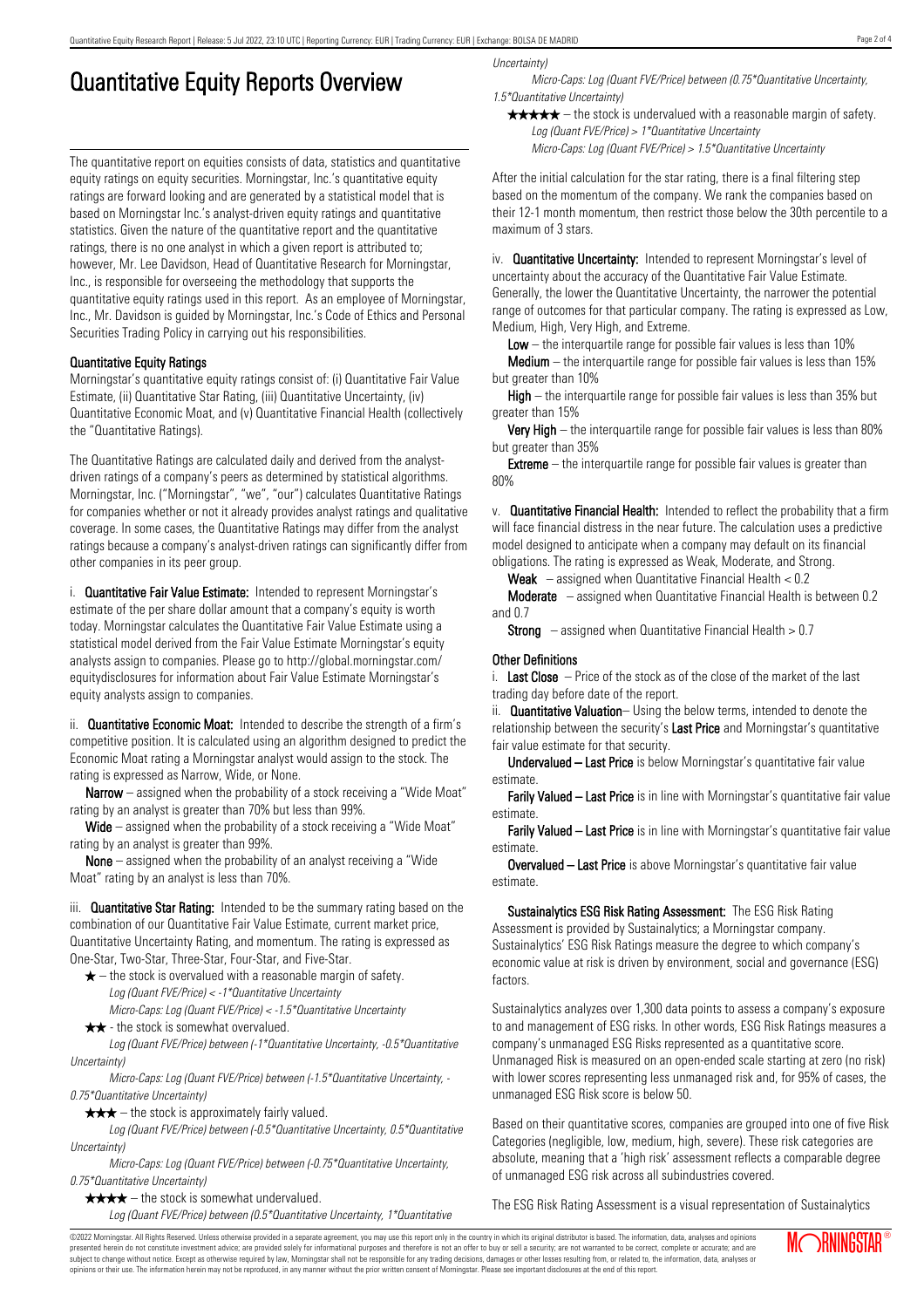# Quantitative Equity Reports Overview

The quantitative report on equities consists of data, statistics and quantitative equity ratings on equity securities. Morningstar, Inc.'s quantitative equity ratings are forward looking and are generated by a statistical model that is based on Morningstar Inc.'s analyst-driven equity ratings and quantitative statistics. Given the nature of the quantitative report and the quantitative ratings, there is no one analyst in which a given report is attributed to; however, Mr. Lee Davidson, Head of Quantitative Research for Morningstar, Inc., is responsible for overseeing the methodology that supports the quantitative equity ratings used in this report. As an employee of Morningstar, Inc., Mr. Davidson is guided by Morningstar, Inc.'s Code of Ethics and Personal Securities Trading Policy in carrying out his responsibilities.

### Quantitative Equity Ratings

Morningstar's quantitative equity ratings consist of: (i) Quantitative Fair Value Estimate, (ii) Quantitative Star Rating, (iii) Quantitative Uncertainty, (iv) Quantitative Economic Moat, and (v) Quantitative Financial Health (collectively the "Quantitative Ratings).

The Quantitative Ratings are calculated daily and derived from the analystdriven ratings of a company's peers as determined by statistical algorithms. Morningstar, Inc. ("Morningstar", "we", "our") calculates Quantitative Ratings for companies whether or not it already provides analyst ratings and qualitative coverage. In some cases, the Quantitative Ratings may differ from the analyst ratings because a company's analyst-driven ratings can significantly differ from other companies in its peer group.

i. **Quantitative Fair Value Estimate:** Intended to represent Morningstar's estimate of the per share dollar amount that a company's equity is worth today. Morningstar calculates the Quantitative Fair Value Estimate using a statistical model derived from the Fair Value Estimate Morningstar's equity analysts assign to companies. Please go to http://global.morningstar.com/ equitydisclosures for information about Fair Value Estimate Morningstar's equity analysts assign to companies.

ii. **Quantitative Economic Moat:** Intended to describe the strength of a firm's competitive position. It is calculated using an algorithm designed to predict the Economic Moat rating a Morningstar analyst would assign to the stock. The rating is expressed as Narrow, Wide, or None.

**Narrow** – assigned when the probability of a stock receiving a "Wide Moat" rating by an analyst is greater than 70% but less than 99%.

Wide – assigned when the probability of a stock receiving a "Wide Moat" rating by an analyst is greater than 99%.

None – assigned when the probability of an analyst receiving a "Wide Moat" rating by an analyst is less than 70%.

iii. **Quantitative Star Rating:** Intended to be the summary rating based on the combination of our Quantitative Fair Value Estimate, current market price, Quantitative Uncertainty Rating, and momentum. The rating is expressed as One-Star, Two-Star, Three-Star, Four-Star, and Five-Star.

- $\star$  the stock is overvalued with a reasonable margin of safety. Log (Quant FVE/Price) < -1\*Quantitative Uncertainty
- Micro-Caps: Log (Quant FVE/Price) < -1.5\*Quantitative Uncertainty  $\star \star$  - the stock is somewhat overvalued.

Log (Quant FVE/Price) between (-1\*Quantitative Uncertainty, -0.5\*Quantitative Uncertainty)

Micro-Caps: Log (Quant FVE/Price) between (-1.5\*Quantitative Uncertainty, - 0.75\*Quantitative Uncertainty)

 $\star \star \star$  – the stock is approximately fairly valued.

Log (Quant FVE/Price) between (-0.5\*Quantitative Uncertainty, 0.5\*Quantitative Uncertainty)

Micro-Caps: Log (Quant FVE/Price) between (-0.75\*Quantitative Uncertainty, 0.75\*Quantitative Uncertainty)

 $\star \star \star \star$  – the stock is somewhat undervalued.

Log (Quant FVE/Price) between (0.5\*Quantitative Uncertainty, 1\*Quantitative

Uncertainty)

Micro-Caps: Log (Quant FVE/Price) between (0.75\*Quantitative Uncertainty, 1.5\*Quantitative Uncertainty)

 $\star \star \star \star$  – the stock is undervalued with a reasonable margin of safety. Log (Quant FVE/Price) > 1\*Quantitative Uncertainty

Micro-Caps: Log (Quant FVE/Price) > 1.5\*Quantitative Uncertainty

After the initial calculation for the star rating, there is a final filtering step based on the momentum of the company. We rank the companies based on their 12-1 month momentum, then restrict those below the 30th percentile to a maximum of 3 stars.

iv. **Quantitative Uncertainty:** Intended to represent Morningstar's level of uncertainty about the accuracy of the Quantitative Fair Value Estimate. Generally, the lower the Quantitative Uncertainty, the narrower the potential range of outcomes for that particular company. The rating is expressed as Low, Medium, High, Very High, and Extreme.

**Low** – the interguartile range for possible fair values is less than  $10\%$ 

**Medium** – the interquartile range for possible fair values is less than  $15\%$ but greater than 10%

High – the interquartile range for possible fair values is less than 35% but greater than 15%

Very High – the interquartile range for possible fair values is less than 80% but greater than 35%

**Extreme** – the interquartile range for possible fair values is greater than 80%

v. Quantitative Financial Health: Intended to reflect the probability that a firm will face financial distress in the near future. The calculation uses a predictive model designed to anticipate when a company may default on its financial obligations. The rating is expressed as Weak, Moderate, and Strong.

**Weak**  $-$  assigned when Quantitative Financial Health  $< 0.2$ 

Moderate – assigned when Quantitative Financial Health is between 0.2 and 0.7

**Strong** – assigned when Quantitative Financial Health  $> 0.7$ 

#### Other Definitions

i. Last Close  $-$  Price of the stock as of the close of the market of the last trading day before date of the report.

ii. **Quantitative Valuation**– Using the below terms, intended to denote the relationship between the security's Last Price and Morningstar's quantitative fair value estimate for that security.

Undervalued – Last Price is below Morningstar's quantitative fair value estimate.

Farily Valued – Last Price is in line with Morningstar's quantitative fair value estimate.

Farily Valued – Last Price is in line with Morningstar's quantitative fair value estimate.

Overvalued – Last Price is above Morningstar's quantitative fair value estimate.

Sustainalytics ESG Risk Rating Assessment: The ESG Risk Rating Assessment is provided by Sustainalytics; a Morningstar company. Sustainalytics' ESG Risk Ratings measure the degree to which company's economic value at risk is driven by environment, social and governance (ESG) factors.

Sustainalytics analyzes over 1,300 data points to assess a company's exposure to and management of ESG risks. In other words, ESG Risk Ratings measures a company's unmanaged ESG Risks represented as a quantitative score. Unmanaged Risk is measured on an open-ended scale starting at zero (no risk) with lower scores representing less unmanaged risk and, for 95% of cases, the unmanaged ESG Risk score is below 50.

Based on their quantitative scores, companies are grouped into one of five Risk Categories (negligible, low, medium, high, severe). These risk categories are absolute, meaning that a 'high risk' assessment reflects a comparable degree of unmanaged ESG risk across all subindustries covered.

The ESG Risk Rating Assessment is a visual representation of Sustainalytics

©2022 Morningstar. All Rights Reserved. Unless otherwise provided in a separate agreement, you may use this report only in the country in which its original distributor is based. The information, data, analyses and opinions presented herein do not constitute investment advice; are provided solely for informational purposes and therefore is not an offer to buy or sell a security; are not warranted to be correct, complete or accurate; and are subject to change without notice. Except as otherwise required by law, Morningstar shall not be responsible for any trading decisions, damages or other losses resulting from, or related to, the information, data, analyses or opinions or their use. The information herein may not be reproduced, in any manner without the prior written consent of Morningstar. Please see important disclosures at the end of this report.

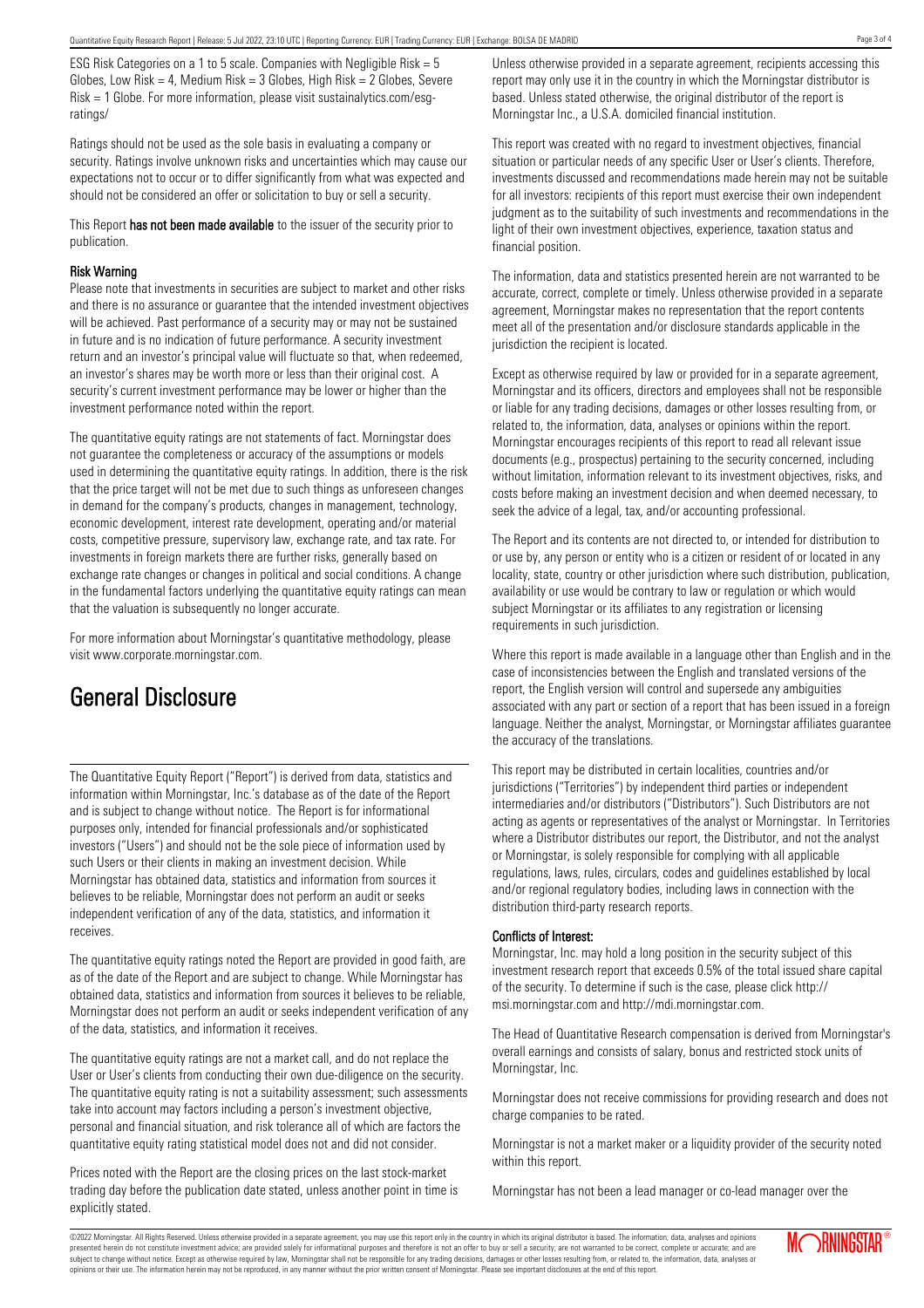ESG Risk Categories on a 1 to 5 scale. Companies with Negligible Risk = 5 Globes, Low Risk = 4, Medium Risk =  $3$  Globes, High Risk =  $2$  Globes, Severe Risk = 1 Globe. For more information, please visit sustainalytics.com/esgratings/

Ratings should not be used as the sole basis in evaluating a company or security. Ratings involve unknown risks and uncertainties which may cause our expectations not to occur or to differ significantly from what was expected and should not be considered an offer or solicitation to buy or sell a security.

This Report has not been made available to the issuer of the security prior to publication.

#### Risk Warning

Please note that investments in securities are subject to market and other risks and there is no assurance or guarantee that the intended investment objectives will be achieved. Past performance of a security may or may not be sustained in future and is no indication of future performance. A security investment return and an investor's principal value will fluctuate so that, when redeemed, an investor's shares may be worth more or less than their original cost. A security's current investment performance may be lower or higher than the investment performance noted within the report.

The quantitative equity ratings are not statements of fact. Morningstar does not guarantee the completeness or accuracy of the assumptions or models used in determining the quantitative equity ratings. In addition, there is the risk that the price target will not be met due to such things as unforeseen changes in demand for the company's products, changes in management, technology, economic development, interest rate development, operating and/or material costs, competitive pressure, supervisory law, exchange rate, and tax rate. For investments in foreign markets there are further risks, generally based on exchange rate changes or changes in political and social conditions. A change in the fundamental factors underlying the quantitative equity ratings can mean that the valuation is subsequently no longer accurate.

For more information about Morningstar's quantitative methodology, please visit www.corporate.morningstar.com.

### General Disclosure

The Quantitative Equity Report ("Report") is derived from data, statistics and information within Morningstar, Inc.'s database as of the date of the Report and is subject to change without notice. The Report is for informational purposes only, intended for financial professionals and/or sophisticated investors ("Users") and should not be the sole piece of information used by such Users or their clients in making an investment decision. While Morningstar has obtained data, statistics and information from sources it believes to be reliable, Morningstar does not perform an audit or seeks independent verification of any of the data, statistics, and information it receives.

The quantitative equity ratings noted the Report are provided in good faith, are as of the date of the Report and are subject to change. While Morningstar has obtained data, statistics and information from sources it believes to be reliable, Morningstar does not perform an audit or seeks independent verification of any of the data, statistics, and information it receives.

The quantitative equity ratings are not a market call, and do not replace the User or User's clients from conducting their own due-diligence on the security. The quantitative equity rating is not a suitability assessment; such assessments take into account may factors including a person's investment objective, personal and financial situation, and risk tolerance all of which are factors the quantitative equity rating statistical model does not and did not consider.

Prices noted with the Report are the closing prices on the last stock-market trading day before the publication date stated, unless another point in time is explicitly stated.

Unless otherwise provided in a separate agreement, recipients accessing this report may only use it in the country in which the Morningstar distributor is based. Unless stated otherwise, the original distributor of the report is Morningstar Inc., a U.S.A. domiciled financial institution.

This report was created with no regard to investment objectives, financial situation or particular needs of any specific User or User's clients. Therefore, investments discussed and recommendations made herein may not be suitable for all investors: recipients of this report must exercise their own independent judgment as to the suitability of such investments and recommendations in the light of their own investment objectives, experience, taxation status and financial position.

The information, data and statistics presented herein are not warranted to be accurate, correct, complete or timely. Unless otherwise provided in a separate agreement, Morningstar makes no representation that the report contents meet all of the presentation and/or disclosure standards applicable in the jurisdiction the recipient is located.

Except as otherwise required by law or provided for in a separate agreement, Morningstar and its officers, directors and employees shall not be responsible or liable for any trading decisions, damages or other losses resulting from, or related to, the information, data, analyses or opinions within the report. Morningstar encourages recipients of this report to read all relevant issue documents (e.g., prospectus) pertaining to the security concerned, including without limitation, information relevant to its investment objectives, risks, and costs before making an investment decision and when deemed necessary, to seek the advice of a legal, tax, and/or accounting professional.

The Report and its contents are not directed to, or intended for distribution to or use by, any person or entity who is a citizen or resident of or located in any locality, state, country or other jurisdiction where such distribution, publication, availability or use would be contrary to law or regulation or which would subject Morningstar or its affiliates to any registration or licensing requirements in such jurisdiction.

Where this report is made available in a language other than English and in the case of inconsistencies between the English and translated versions of the report, the English version will control and supersede any ambiguities associated with any part or section of a report that has been issued in a foreign language. Neither the analyst, Morningstar, or Morningstar affiliates guarantee the accuracy of the translations.

This report may be distributed in certain localities, countries and/or jurisdictions ("Territories") by independent third parties or independent intermediaries and/or distributors ("Distributors"). Such Distributors are not acting as agents or representatives of the analyst or Morningstar. In Territories where a Distributor distributes our report, the Distributor, and not the analyst or Morningstar, is solely responsible for complying with all applicable regulations, laws, rules, circulars, codes and guidelines established by local and/or regional regulatory bodies, including laws in connection with the distribution third-party research reports.

#### Conflicts of Interest:

Morningstar, Inc. may hold a long position in the security subject of this investment research report that exceeds 0.5% of the total issued share capital of the security. To determine if such is the case, please click http:// msi.morningstar.com and http://mdi.morningstar.com.

The Head of Quantitative Research compensation is derived from Morningstar's overall earnings and consists of salary, bonus and restricted stock units of Morningstar, Inc.

Morningstar does not receive commissions for providing research and does not charge companies to be rated.

Morningstar is not a market maker or a liquidity provider of the security noted within this report.

Morningstar has not been a lead manager or co-lead manager over the